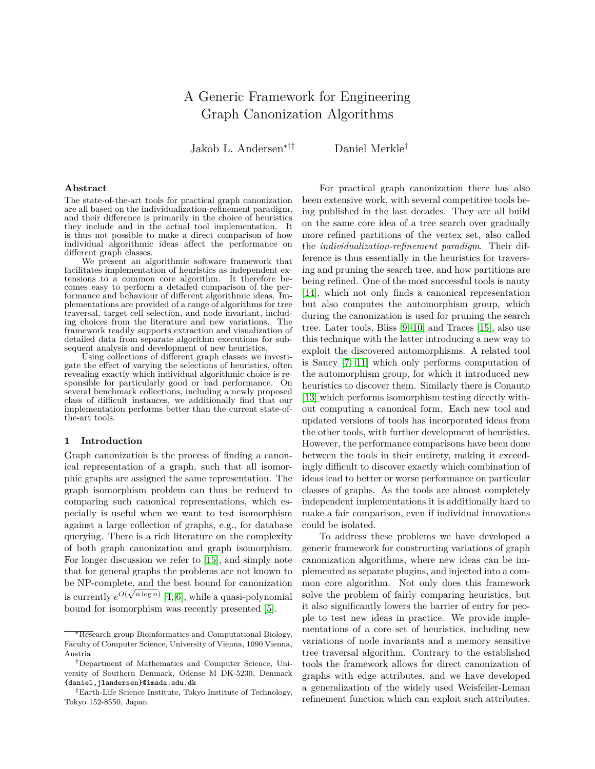# A Generic Framework for Engineering Graph Canonization Algorithms

Jakob L. Andersen∗†‡ Daniel Merkle†

#### **Abstract**

The state-of-the-art tools for practical graph canonization are all based on the individualization-refinement paradigm, and their difference is primarily in the choice of heuristics they include and in the actual tool implementation. It is thus not possible to make a direct comparison of how individual algorithmic ideas affect the performance on different graph classes.

We present an algorithmic software framework that facilitates implementation of heuristics as independent extensions to a common core algorithm. It therefore becomes easy to perform a detailed comparison of the performance and behaviour of different algorithmic ideas. Implementations are provided of a range of algorithms for tree traversal, target cell selection, and node invariant, including choices from the literature and new variations. The framework readily supports extraction and visualization of detailed data from separate algorithm executions for subsequent analysis and development of new heuristics.

Using collections of different graph classes we investigate the effect of varying the selections of heuristics, often revealing exactly which individual algorithmic choice is responsible for particularly good or bad performance. On several benchmark collections, including a newly proposed class of difficult instances, we additionally find that our implementation performs better than the current state-ofthe-art tools.

#### **1 Introduction**

Graph canonization is the process of finding a canonical representation of a graph, such that all isomorphic graphs are assigned the same representation. The graph isomorphism problem can thus be reduced to comparing such canonical representations, which especially is useful when we want to test isomorphism against a large collection of graphs, e.g., for database querying. There is a rich literature on the complexity of both graph canonization and graph isomorphism. For longer discussion we refer to [\[15\]](#page-8-0), and simply note that for general graphs the problems are not known to be NP-complete, and the best bound for canonization is currently  $e^{O(\sqrt{n}\log n)}$  [\[4,](#page-8-1) [6\]](#page-8-2), while a quasi-polynomial bound for isomorphism was recently presented [\[5\]](#page-8-3).

For practical graph canonization there has also been extensive work, with several competitive tools being published in the last decades. They are all build on the same core idea of a tree search over gradually more refined partitions of the vertex set, also called the *individualization-refinement paradigm*. Their difference is thus essentially in the heuristics for traversing and pruning the search tree, and how partitions are being refined. One of the most successful tools is nauty [\[14\]](#page-8-4), which not only finds a canonical representation but also computes the automorphism group, which during the canonization is used for pruning the search tree. Later tools, Bliss [\[9,](#page-8-5) [10\]](#page-8-6) and Traces [\[15\]](#page-8-0), also use this technique with the latter introducing a new way to exploit the discovered automorphisms. A related tool is Saucy [\[7,](#page-8-7) [11\]](#page-8-8) which only performs computation of the automorphism group, for which it introduced new heuristics to discover them. Similarly there is Conauto [\[13\]](#page-8-9) which performs isomorphism testing directly without computing a canonical form. Each new tool and updated versions of tools has incorporated ideas from the other tools, with further development of heuristics. However, the performance comparisons have been done between the tools in their entirety, making it exceedingly difficult to discover exactly which combination of ideas lead to better or worse performance on particular classes of graphs. As the tools are almost completely independent implementations it is additionally hard to make a fair comparison, even if individual innovations could be isolated.

To address these problems we have developed a generic framework for constructing variations of graph canonization algorithms, where new ideas can be implemented as separate plugins, and injected into a common core algorithm. Not only does this framework solve the problem of fairly comparing heuristics, but it also significantly lowers the barrier of entry for people to test new ideas in practice. We provide implementations of a core set of heuristics, including new variations of node invariants and a memory sensitive tree traversal algorithm. Contrary to the established tools the framework allows for direct canonization of graphs with edge attributes, and we have developed a generalization of the widely used Weisfeiler-Leman refinement function which can exploit such attributes.

<sup>∗</sup>Research group Bioinformatics and Computational Biology, Faculty of Computer Science, University of Vienna, 1090 Vienna, Austria

<sup>†</sup>Department of Mathematics and Computer Science, University of Southern Denmark, Odense M DK-5230, Denmark {daniel,jlandersen}@imada.sdu.dk

<sup>‡</sup>Earth-Life Science Institute, Tokyo Institute of Technology, Tokyo 152-8550, Japan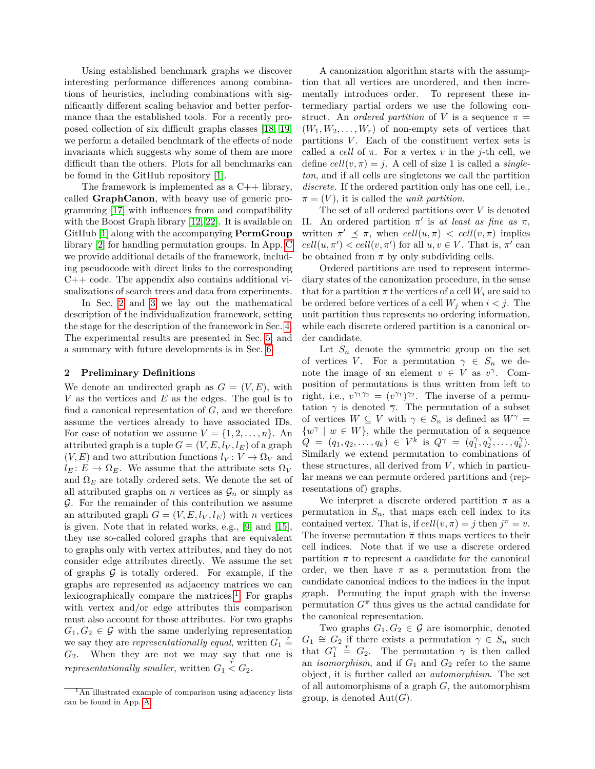Using established benchmark graphs we discover interesting performance differences among combinations of heuristics, including combinations with significantly different scaling behavior and better performance than the established tools. For a recently proposed collection of six difficult graphs classes [\[18,](#page-9-0) [19\]](#page-9-1) we perform a detailed benchmark of the effects of node invariants which suggests why some of them are more difficult than the others. Plots for all benchmarks can be found in the GitHub repository [\[1\]](#page-8-10).

The framework is implemented as a C++ library, called **GraphCanon**, with heavy use of generic programming [\[17\]](#page-9-2) with influences from and compatibility with the Boost Graph library [\[12,](#page-8-11) [22\]](#page-9-3). It is available on GitHub [\[1\]](#page-8-10) along with the accompanying **PermGroup** library [\[2\]](#page-8-12) for handling permutation groups. In App. [C](#page-9-4) we provide additional details of the framework, including pseudocode with direct links to the corresponding  $C++$  code. The appendix also contains additional visualizations of search trees and data from experiments.

In Sec. [2](#page-1-0) and [3](#page-2-0) we lay out the mathematical description of the individualization framework, setting the stage for the description of the framework in Sec. [4.](#page-3-0) The experimental results are presented in Sec. [5,](#page-5-0) and a summary with future developments is in Sec. [6.](#page-7-0)

## <span id="page-1-0"></span>**2 Preliminary Definitions**

We denote an undirected graph as  $G = (V, E)$ , with *V* as the vertices and *E* as the edges. The goal is to find a canonical representation of *G*, and we therefore assume the vertices already to have associated IDs. For ease of notation we assume  $V = \{1, 2, \ldots, n\}$ . An attributed graph is a tuple  $G = (V, E, l_V, l_E)$  of a graph  $(V, E)$  and two attribution functions  $l_V: V \to \Omega_V$  and  $l_E: E \to \Omega_E$ . We assume that the attribute sets  $\Omega_V$ and  $\Omega_E$  are totally ordered sets. We denote the set of all attributed graphs on *n* vertices as  $\mathcal{G}_n$  or simply as  $\mathcal G$ . For the remainder of this contribution we assume an attributed graph  $G = (V, E, l_V, l_E)$  with *n* vertices is given. Note that in related works, e.g., [\[9\]](#page-8-5) and [\[15\]](#page-8-0), they use so-called colored graphs that are equivalent to graphs only with vertex attributes, and they do not consider edge attributes directly. We assume the set of graphs  $G$  is totally ordered. For example, if the graphs are represented as adjacency matrices we can lexicographically compare the matrices.<sup>[1](#page-1-1)</sup> For graphs with vertex and/or edge attributes this comparison must also account for those attributes. For two graphs  $G_1, G_2 \in \mathcal{G}$  with the same underlying representation we say they are *representationally equal*, written  $G_1 \stackrel{r}{=}$ *G*2. When they are not we may say that one is *representationally smaller*, written  $G_1 \nleq G_2$ .

A canonization algorithm starts with the assumption that all vertices are unordered, and then incrementally introduces order. To represent these intermediary partial orders we use the following construct. An *ordered partition* of *V* is a sequence  $\pi$  =  $(W_1, W_2, \ldots, W_r)$  of non-empty sets of vertices that partitions *V*. Each of the constituent vertex sets is called a *cell* of  $\pi$ . For a vertex  $v$  in the *j*-th cell, we define  $cell(v, \pi) = j$ . A cell of size 1 is called a *singleton*, and if all cells are singletons we call the partition *discrete*. If the ordered partition only has one cell, i.e.,  $\pi = (V)$ , it is called the *unit partition*.

The set of all ordered partitions over *V* is denoted II. An ordered partition  $π'$  is *at least as fine as*  $π$ , written  $\pi' \preceq \pi$ , when  $cell(u, \pi) < cell(v, \pi)$  implies  $cell(u, \pi') < cell(v, \pi')$  for all  $u, v \in V$ . That is,  $\pi'$  can be obtained from  $\pi$  by only subdividing cells.

Ordered partitions are used to represent intermediary states of the canonization procedure, in the sense that for a partition  $\pi$  the vertices of a cell  $W_i$  are said to be ordered before vertices of a cell  $W_j$  when  $i < j$ . The unit partition thus represents no ordering information, while each discrete ordered partition is a canonical order candidate.

Let  $S_n$  denote the symmetric group on the set of vertices *V*. For a permutation  $\gamma \in S_n$  we denote the image of an element  $v \in V$  as  $v^{\gamma}$ . Composition of permutations is thus written from left to right, i.e.,  $v^{\gamma_1 \gamma_2} = (v^{\gamma_1})^{\gamma_2}$ . The inverse of a permutation  $\gamma$  is denoted  $\overline{\gamma}$ . The permutation of a subset of vertices  $W \subseteq V$  with  $\gamma \in S_n$  is defined as  $W^{\gamma} =$  $\{w^{\gamma} \mid w \in W\}$ , while the permutation of a sequence  $Q = (q_1, q_2, \ldots, q_k) \in V^k$  is  $Q^{\gamma} = (q_1^{\gamma}, q_2^{\gamma}, \ldots, q_k^{\gamma}).$ Similarly we extend permutation to combinations of these structures, all derived from  $V$ , which in particular means we can permute ordered partitions and (representations of) graphs.

We interpret a discrete ordered partition  $\pi$  as a permutation in  $S_n$ , that maps each cell index to its contained vertex. That is, if  $cell(v, \pi) = j$  then  $j^{\pi} = v$ . The inverse permutation  $\bar{\pi}$  thus maps vertices to their cell indices. Note that if we use a discrete ordered partition  $\pi$  to represent a candidate for the canonical order, we then have  $\pi$  as a permutation from the candidate canonical indices to the indices in the input graph. Permuting the input graph with the inverse permutation  $G^{\overline{\pi}}$  thus gives us the actual candidate for the canonical representation.

Two graphs  $G_1, G_2 \in \mathcal{G}$  are isomorphic, denoted  $G_1 \cong G_2$  if there exists a permutation  $\gamma \in S_n$  such that  $G_1^{\gamma} \stackrel{r}{=} G_2$ . The permutation  $\gamma$  is then called an *isomorphism*, and if  $G_1$  and  $G_2$  refer to the same object, it is further called an *automorphism*. The set of all automorphisms of a graph *G*, the automorphism group, is denoted Aut(*G*).

<span id="page-1-1"></span> $\overline{1_{\text{An}}}$  illustrated example of comparison using adjacency lists can be found in App. [A.](#page-9-5)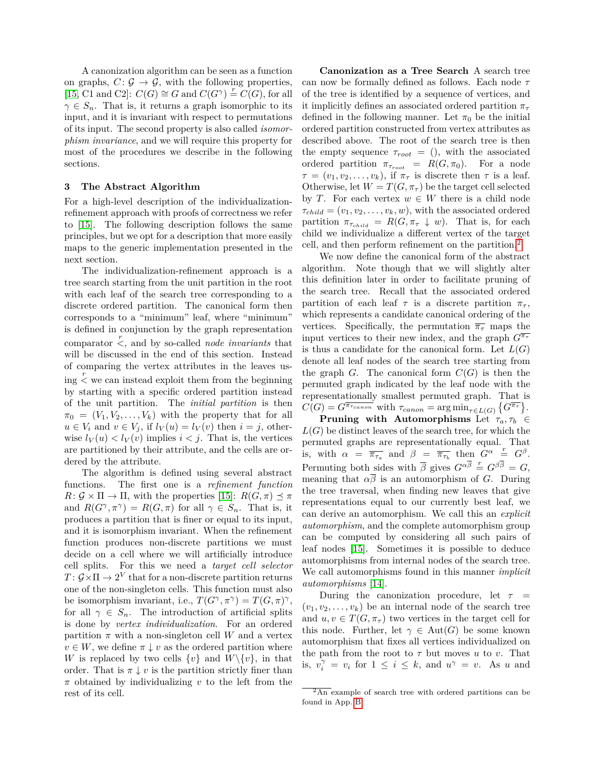A canonization algorithm can be seen as a function on graphs,  $C: \mathcal{G} \to \mathcal{G}$ , with the following properties, [\[15,](#page-8-0) C1 and C2]:  $C(G) \cong G$  and  $C(G^{\gamma}) \cong C(G)$ , for all  $\gamma \in S_n$ . That is, it returns a graph isomorphic to its input, and it is invariant with respect to permutations of its input. The second property is also called *isomorphism invariance*, and we will require this property for most of the procedures we describe in the following sections.

## <span id="page-2-0"></span>**3 The Abstract Algorithm**

For a high-level description of the individualizationrefinement approach with proofs of correctness we refer to [\[15\]](#page-8-0). The following description follows the same principles, but we opt for a description that more easily maps to the generic implementation presented in the next section.

The individualization-refinement approach is a tree search starting from the unit partition in the root with each leaf of the search tree corresponding to a discrete ordered partition. The canonical form then corresponds to a "minimum" leaf, where "minimum" is defined in conjunction by the graph representation comparator  $\leq$ , and by so-called *node invariants* that will be discussed in the end of this section. Instead of comparing the vertex attributes in the leaves us- $\frac{r}{\sqrt{r}}$  we can instead exploit them from the beginning by starting with a specific ordered partition instead of the unit partition. The *initial partition* is then  $\pi_0 = (V_1, V_2, \ldots, V_k)$  with the property that for all  $u \in V_i$  and  $v \in V_j$ , if  $l_V(u) = l_V(v)$  then  $i = j$ , otherwise  $l_V(u) < l_V(v)$  implies  $i < j$ . That is, the vertices are partitioned by their attribute, and the cells are ordered by the attribute.

The algorithm is defined using several abstract functions. The first one is a *refinement function*  $R: \mathcal{G} \times \Pi \to \Pi$ , with the properties [\[15\]](#page-8-0):  $R(G, \pi) \preceq \pi$ and  $R(G^{\gamma}, \pi^{\gamma}) = R(G, \pi)$  for all  $\gamma \in S_n$ . That is, it produces a partition that is finer or equal to its input, and it is isomorphism invariant. When the refinement function produces non-discrete partitions we must decide on a cell where we will artificially introduce cell splits. For this we need a *target cell selector*  $T: \mathcal{G} \times \Pi \to 2^V$  that for a non-discrete partition returns one of the non-singleton cells. This function must also be isomorphism invariant, i.e.,  $T(G^{\gamma}, \pi^{\gamma}) = T(G, \pi)^{\gamma}$ , for all  $\gamma \in S_n$ . The introduction of artificial splits is done by *vertex individualization*. For an ordered partition  $\pi$  with a non-singleton cell *W* and a vertex  $v \in W$ , we define  $\pi \downarrow v$  as the ordered partition where *W* is replaced by two cells  $\{v\}$  and  $W\backslash\{v\}$ , in that order. That is  $\pi \downarrow v$  is the partition strictly finer than *π* obtained by individualizing *v* to the left from the rest of its cell.

**Canonization as a Tree Search** A search tree can now be formally defined as follows. Each node *τ* of the tree is identified by a sequence of vertices, and it implicitly defines an associated ordered partition  $\pi$ <sup>*τ*</sup> defined in the following manner. Let  $\pi_0$  be the initial ordered partition constructed from vertex attributes as described above. The root of the search tree is then the empty sequence  $\tau_{root} = ()$ , with the associated ordered partition  $\pi_{\tau_{root}} = R(G, \pi_0)$ . For a node  $\tau = (v_1, v_2, \dots, v_k)$ , if  $\pi_{\tau}$  is discrete then  $\tau$  is a leaf. Otherwise, let  $W = T(G, \pi<sub>\tau</sub>)$  be the target cell selected by *T*. For each vertex  $w \in W$  there is a child node  $\tau_{child} = (v_1, v_2, \dots, v_k, w)$ , with the associated ordered partition  $\pi_{\tau_{child}} = R(G, \pi_{\tau} \downarrow w)$ . That is, for each child we individualize a different vertex of the target cell, and then perform refinement on the partition.[2](#page-2-1)

We now define the canonical form of the abstract algorithm. Note though that we will slightly alter this definition later in order to facilitate pruning of the search tree. Recall that the associated ordered partition of each leaf  $\tau$  is a discrete partition  $\pi_{\tau}$ , which represents a candidate canonical ordering of the vertices. Specifically, the permutation  $\overline{\pi_{\tau}}$  maps the input vertices to their new index, and the graph  $G^{\overline{\pi_{\tau}}}$ is thus a candidate for the canonical form. Let  $L(G)$ denote all leaf nodes of the search tree starting from the graph *G*. The canonical form  $C(G)$  is then the permuted graph indicated by the leaf node with the representationally smallest permuted graph. That is  $C(G) = G^{\overline{\pi_{\tau_{canon}}}}$  with  $\tau_{canon} = \arg \min_{\tau \in L(G)} \{G^{\overline{\pi_{\tau}}}\}.$ 

**Pruning with Automorphisms** Let  $\tau_a, \tau_b \in$  $L(G)$  be distinct leaves of the search tree, for which the permuted graphs are representationally equal. That is, with  $\alpha = \overline{\pi_{\tau_a}}$  and  $\beta = \overline{\pi_{\tau_b}}$  then  $G^{\alpha} = G^{\beta}$ . Permuting both sides with  $\overline{\beta}$  gives  $G^{\alpha\overline{\beta}} \stackrel{r}{=} G^{\beta\overline{\beta}} = G$ , meaning that  $\alpha \overline{\beta}$  is an automorphism of *G*. During the tree traversal, when finding new leaves that give representations equal to our currently best leaf, we can derive an automorphism. We call this an *explicit automorphism*, and the complete automorphism group can be computed by considering all such pairs of leaf nodes [\[15\]](#page-8-0). Sometimes it is possible to deduce automorphisms from internal nodes of the search tree. We call automorphisms found in this manner *implicit automorphisms* [\[14\]](#page-8-4).

During the canonization procedure, let *τ* =  $(v_1, v_2, \ldots, v_k)$  be an internal node of the search tree and  $u, v \in T(G, \pi_{\tau})$  two vertices in the target cell for this node. Further, let  $\gamma \in \text{Aut}(G)$  be some known automorphism that fixes all vertices individualized on the path from the root to  $\tau$  but moves  $u$  to  $v$ . That is,  $v_i^{\gamma} = v_i$  for  $1 \leq i \leq k$ , and  $u^{\gamma} = v$ . As *u* and

<span id="page-2-1"></span> $\sqrt[2]{2\text{An}}$  example of search tree with ordered partitions can be found in App. [B.](#page-9-6)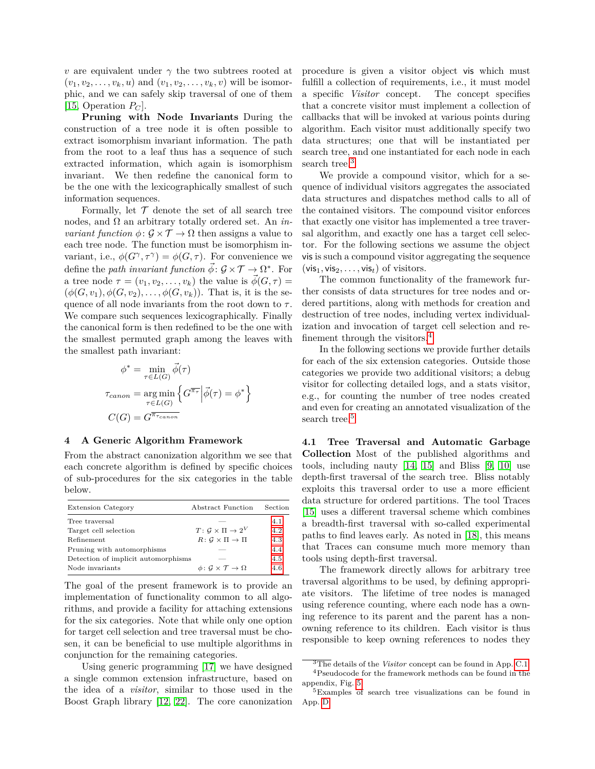*v* are equivalent under  $\gamma$  the two subtrees rooted at  $(v_1, v_2, \ldots, v_k, u)$  and  $(v_1, v_2, \ldots, v_k, v)$  will be isomorphic, and we can safely skip traversal of one of them [\[15,](#page-8-0) Operation  $P_C$ ].

**Pruning with Node Invariants** During the construction of a tree node it is often possible to extract isomorphism invariant information. The path from the root to a leaf thus has a sequence of such extracted information, which again is isomorphism invariant. We then redefine the canonical form to be the one with the lexicographically smallest of such information sequences.

Formally, let  $\mathcal T$  denote the set of all search tree nodes, and  $\Omega$  an arbitrary totally ordered set. An *invariant function*  $\phi: \mathcal{G} \times \mathcal{T} \to \Omega$  then assigns a value to each tree node. The function must be isomorphism invariant, i.e.,  $\phi(G^{\gamma}, \tau^{\gamma}) = \phi(G, \tau)$ . For convenience we define the *path invariant function*  $\vec{\phi}$ :  $\mathcal{G} \times \mathcal{T} \rightarrow \Omega^*$ . For a tree node  $\tau = (v_1, v_2, \ldots, v_k)$  the value is  $\phi(G, \tau) =$  $(\phi(G, v_1), \phi(G, v_2), \ldots, \phi(G, v_k))$ . That is, it is the sequence of all node invariants from the root down to *τ* . We compare such sequences lexicographically. Finally the canonical form is then redefined to be the one with the smallest permuted graph among the leaves with the smallest path invariant:

$$
\phi^* = \min_{\tau \in L(G)} \vec{\phi}(\tau)
$$

$$
\tau_{canon} = \operatorname*{arg\,min}_{\tau \in L(G)} \left\{ G^{\overline{\pi}_{\tau}} \middle| \vec{\phi}(\tau) = \phi^* \right\}
$$

$$
C(G) = G^{\overline{\pi}_{\tau_{canon}}}
$$

#### <span id="page-3-0"></span>**4 A Generic Algorithm Framework**

From the abstract canonization algorithm we see that each concrete algorithm is defined by specific choices of sub-procedures for the six categories in the table below.

| Extension Category                  | Abstract Function                                         | Section |
|-------------------------------------|-----------------------------------------------------------|---------|
| Tree traversal                      |                                                           | 4.1     |
| Target cell selection               | $T: \mathcal{G} \times \Pi \rightarrow 2^V$               | 4.2     |
| Refinement                          | $R: \mathcal{G} \times \Pi \rightarrow \Pi$               | 4.3     |
| Pruning with automorphisms          |                                                           | 4.4     |
| Detection of implicit automorphisms |                                                           | 4.5     |
| Node invariants                     | $\phi: \mathcal{G} \times \mathcal{T} \rightarrow \Omega$ | 4.6     |

The goal of the present framework is to provide an implementation of functionality common to all algorithms, and provide a facility for attaching extensions for the six categories. Note that while only one option for target cell selection and tree traversal must be chosen, it can be beneficial to use multiple algorithms in conjunction for the remaining categories.

Using generic programming [\[17\]](#page-9-2) we have designed a single common extension infrastructure, based on the idea of a *visitor*, similar to those used in the Boost Graph library [\[12,](#page-8-11) [22\]](#page-9-3). The core canonization procedure is given a visitor object vis which must fulfill a collection of requirements, i.e., it must model a specific *Visitor* concept. The concept specifies that a concrete visitor must implement a collection of callbacks that will be invoked at various points during algorithm. Each visitor must additionally specify two data structures; one that will be instantiated per search tree, and one instantiated for each node in each search tree.<sup>[3](#page-3-2)</sup>

We provide a compound visitor, which for a sequence of individual visitors aggregates the associated data structures and dispatches method calls to all of the contained visitors. The compound visitor enforces that exactly one visitor has implemented a tree traversal algorithm, and exactly one has a target cell selector. For the following sections we assume the object vis is such a compound visitor aggregating the sequence  $(vis<sub>1</sub>, vis<sub>2</sub>, ..., vis<sub>t</sub>)$  of visitors.

The common functionality of the framework further consists of data structures for tree nodes and ordered partitions, along with methods for creation and destruction of tree nodes, including vertex individualization and invocation of target cell selection and refinement through the visitors.[4](#page-3-3)

In the following sections we provide further details for each of the six extension categories. Outside those categories we provide two additional visitors; a debug visitor for collecting detailed logs, and a stats visitor, e.g., for counting the number of tree nodes created and even for creating an annotated visualization of the search tree.<sup>[5](#page-3-4)</sup>

<span id="page-3-1"></span>**4.1 Tree Traversal and Automatic Garbage Collection** Most of the published algorithms and tools, including nauty [\[14,](#page-8-4) [15\]](#page-8-0) and Bliss [\[9,](#page-8-5) [10\]](#page-8-6) use depth-first traversal of the search tree. Bliss notably exploits this traversal order to use a more efficient data structure for ordered partitions. The tool Traces [\[15\]](#page-8-0) uses a different traversal scheme which combines a breadth-first traversal with so-called experimental paths to find leaves early. As noted in [\[18\]](#page-9-0), this means that Traces can consume much more memory than tools using depth-first traversal.

The framework directly allows for arbitrary tree traversal algorithms to be used, by defining appropriate visitors. The lifetime of tree nodes is managed using reference counting, where each node has a owning reference to its parent and the parent has a nonowning reference to its children. Each visitor is thus responsible to keep owning references to nodes they

<span id="page-3-3"></span><span id="page-3-2"></span><sup>3</sup>The details of the *Visitor* concept can be found in App. [C.1.](#page-9-7) <sup>4</sup>Pseudocode for the framework methods can be found in the appendix, Fig. [5.](#page-12-0)

<span id="page-3-4"></span><sup>5</sup>Examples of search tree visualizations can be found in App. [D.](#page-12-1)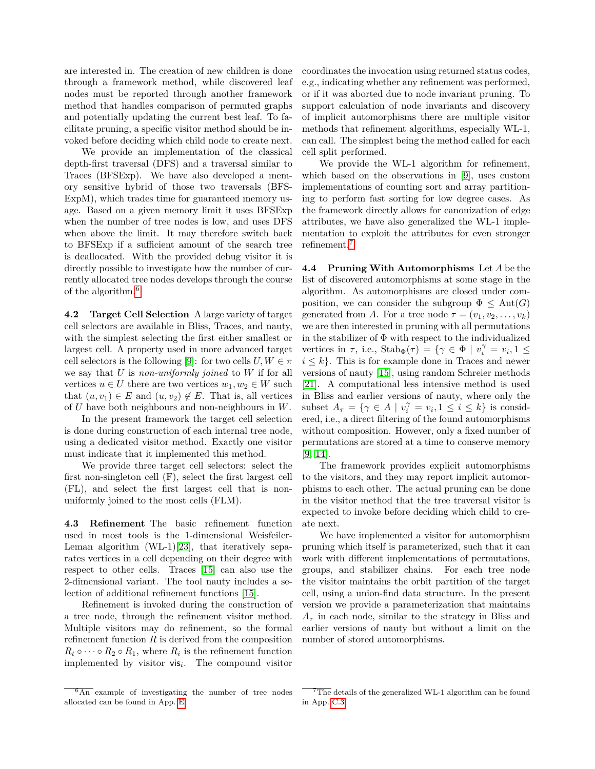are interested in. The creation of new children is done through a framework method, while discovered leaf nodes must be reported through another framework method that handles comparison of permuted graphs and potentially updating the current best leaf. To facilitate pruning, a specific visitor method should be invoked before deciding which child node to create next.

We provide an implementation of the classical depth-first traversal (DFS) and a traversal similar to Traces (BFSExp). We have also developed a memory sensitive hybrid of those two traversals (BFS-ExpM), which trades time for guaranteed memory usage. Based on a given memory limit it uses BFSExp when the number of tree nodes is low, and uses DFS when above the limit. It may therefore switch back to BFSExp if a sufficient amount of the search tree is deallocated. With the provided debug visitor it is directly possible to investigate how the number of currently allocated tree nodes develops through the course of the algorithm.<sup>[6](#page-4-4)</sup>

<span id="page-4-0"></span>**4.2 Target Cell Selection** A large variety of target cell selectors are available in Bliss, Traces, and nauty, with the simplest selecting the first either smallest or largest cell. A property used in more advanced target cell selectors is the following [\[9\]](#page-8-5): for two cells  $U, W \in \pi$ we say that *U* is *non-uniformly joined* to *W* if for all vertices  $u \in U$  there are two vertices  $w_1, w_2 \in W$  such that  $(u, v_1) \in E$  and  $(u, v_2) \notin E$ . That is, all vertices of *U* have both neighbours and non-neighbours in *W*.

In the present framework the target cell selection is done during construction of each internal tree node, using a dedicated visitor method. Exactly one visitor must indicate that it implemented this method.

We provide three target cell selectors: select the first non-singleton cell (F), select the first largest cell (FL), and select the first largest cell that is nonuniformly joined to the most cells (FLM).

<span id="page-4-1"></span>**4.3 Refinement** The basic refinement function used in most tools is the 1-dimensional Weisfeiler-Leman algorithm (WL-1)[\[23\]](#page-9-8), that iteratively separates vertices in a cell depending on their degree with respect to other cells. Traces [\[15\]](#page-8-0) can also use the 2-dimensional variant. The tool nauty includes a selection of additional refinement functions [\[15\]](#page-8-0).

Refinement is invoked during the construction of a tree node, through the refinement visitor method. Multiple visitors may do refinement, so the formal refinement function  $R$  is derived from the composition  $R_t \circ \cdots \circ R_2 \circ R_1$ , where  $R_i$  is the refinement function implemented by visitor vis*<sup>i</sup>* . The compound visitor

coordinates the invocation using returned status codes, e.g., indicating whether any refinement was performed, or if it was aborted due to node invariant pruning. To support calculation of node invariants and discovery of implicit automorphisms there are multiple visitor methods that refinement algorithms, especially WL-1, can call. The simplest being the method called for each cell split performed.

We provide the WL-1 algorithm for refinement, which based on the observations in [\[9\]](#page-8-5), uses custom implementations of counting sort and array partitioning to perform fast sorting for low degree cases. As the framework directly allows for canonization of edge attributes, we have also generalized the WL-1 implementation to exploit the attributes for even stronger refinement.[7](#page-4-5)

<span id="page-4-2"></span>**4.4 Pruning With Automorphisms** Let *A* be the list of discovered automorphisms at some stage in the algorithm. As automorphisms are closed under composition, we can consider the subgroup  $\Phi \leq \text{Aut}(G)$ generated from *A*. For a tree node  $\tau = (v_1, v_2, \ldots, v_k)$ we are then interested in pruning with all permutations in the stabilizer of  $\Phi$  with respect to the individualized vertices in  $\tau$ , i.e.,  $\text{Stab}_{\Phi}(\tau) = \{ \gamma \in \Phi \mid v_i^{\gamma} = v_i, 1 \leq$  $i \leq k$ . This is for example done in Traces and newer versions of nauty [\[15\]](#page-8-0), using random Schreier methods [\[21\]](#page-9-9). A computational less intensive method is used in Bliss and earlier versions of nauty, where only the subset  $A_{\tau} = \{ \gamma \in A \mid v_i^{\gamma} = v_i, 1 \le i \le k \}$  is considered, i.e., a direct filtering of the found automorphisms without composition. However, only a fixed number of permutations are stored at a time to conserve memory [\[9,](#page-8-5) [14\]](#page-8-4).

The framework provides explicit automorphisms to the visitors, and they may report implicit automorphisms to each other. The actual pruning can be done in the visitor method that the tree traversal visitor is expected to invoke before deciding which child to create next.

We have implemented a visitor for automorphism pruning which itself is parameterized, such that it can work with different implementations of permutations, groups, and stabilizer chains. For each tree node the visitor maintains the orbit partition of the target cell, using a union-find data structure. In the present version we provide a parameterization that maintains  $A_{\tau}$  in each node, similar to the strategy in Bliss and earlier versions of nauty but without a limit on the number of stored automorphisms.

<span id="page-4-4"></span> $\sqrt[6]{6\text{An}}$  example of investigating the number of tree nodes allocated can be found in App. [E.](#page-12-2)

<span id="page-4-5"></span><span id="page-4-3"></span> $7\text{The details of the generalized WL-1 algorithm can be found}$ in App. [C.3.](#page-10-0)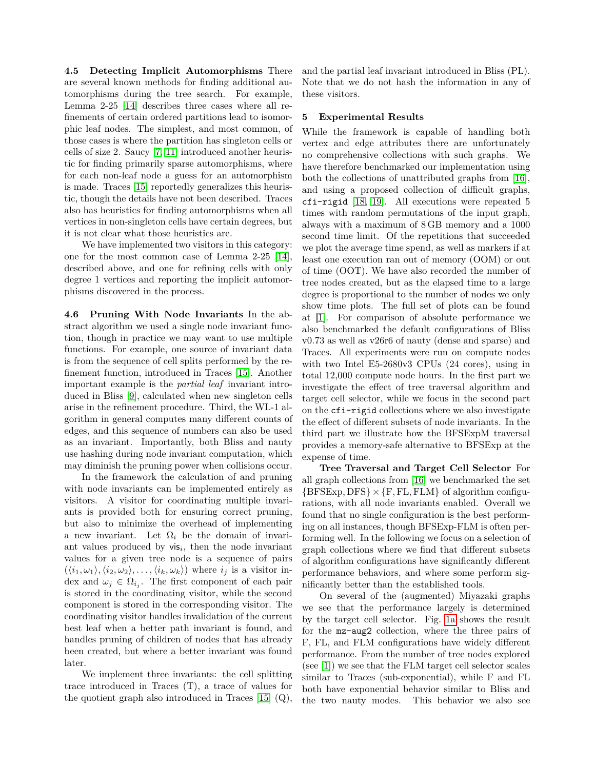**4.5 Detecting Implicit Automorphisms** There are several known methods for finding additional automorphisms during the tree search. For example, Lemma 2-25 [\[14\]](#page-8-4) describes three cases where all refinements of certain ordered partitions lead to isomorphic leaf nodes. The simplest, and most common, of those cases is where the partition has singleton cells or cells of size 2. Saucy [\[7,](#page-8-7) [11\]](#page-8-8) introduced another heuristic for finding primarily sparse automorphisms, where for each non-leaf node a guess for an automorphism is made. Traces [\[15\]](#page-8-0) reportedly generalizes this heuristic, though the details have not been described. Traces also has heuristics for finding automorphisms when all vertices in non-singleton cells have certain degrees, but it is not clear what those heuristics are.

We have implemented two visitors in this category: one for the most common case of Lemma 2-25 [\[14\]](#page-8-4), described above, and one for refining cells with only degree 1 vertices and reporting the implicit automorphisms discovered in the process.

<span id="page-5-1"></span>**4.6 Pruning With Node Invariants** In the abstract algorithm we used a single node invariant function, though in practice we may want to use multiple functions. For example, one source of invariant data is from the sequence of cell splits performed by the refinement function, introduced in Traces [\[15\]](#page-8-0). Another important example is the *partial leaf* invariant introduced in Bliss [\[9\]](#page-8-5), calculated when new singleton cells arise in the refinement procedure. Third, the WL-1 algorithm in general computes many different counts of edges, and this sequence of numbers can also be used as an invariant. Importantly, both Bliss and nauty use hashing during node invariant computation, which may diminish the pruning power when collisions occur.

In the framework the calculation of and pruning with node invariants can be implemented entirely as visitors. A visitor for coordinating multiple invariants is provided both for ensuring correct pruning, but also to minimize the overhead of implementing a new invariant. Let  $\Omega_i$  be the domain of invariant values produced by vis*<sup>i</sup>* , then the node invariant values for a given tree node is a sequence of pairs  $(\langle i_1, \omega_1 \rangle, \langle i_2, \omega_2 \rangle, \ldots, \langle i_k, \omega_k \rangle)$  where  $i_j$  is a visitor index and  $\omega_j \in \Omega_{i_j}$ . The first component of each pair is stored in the coordinating visitor, while the second component is stored in the corresponding visitor. The coordinating visitor handles invalidation of the current best leaf when a better path invariant is found, and handles pruning of children of nodes that has already been created, but where a better invariant was found later.

We implement three invariants: the cell splitting trace introduced in Traces (T), a trace of values for the quotient graph also introduced in Traces [\[15\]](#page-8-0) (Q), and the partial leaf invariant introduced in Bliss (PL). Note that we do not hash the information in any of these visitors.

## <span id="page-5-0"></span>**5 Experimental Results**

While the framework is capable of handling both vertex and edge attributes there are unfortunately no comprehensive collections with such graphs. We have therefore benchmarked our implementation using both the collections of unattributed graphs from [\[16\]](#page-8-13), and using a proposed collection of difficult graphs, cfi-rigid [\[18,](#page-9-0) [19\]](#page-9-1). All executions were repeated 5 times with random permutations of the input graph, always with a maximum of 8 GB memory and a 1000 second time limit. Of the repetitions that succeeded we plot the average time spend, as well as markers if at least one execution ran out of memory (OOM) or out of time (OOT). We have also recorded the number of tree nodes created, but as the elapsed time to a large degree is proportional to the number of nodes we only show time plots. The full set of plots can be found at [\[1\]](#page-8-10). For comparison of absolute performance we also benchmarked the default configurations of Bliss v0.73 as well as v26r6 of nauty (dense and sparse) and Traces. All experiments were run on compute nodes with two Intel E5-2680v3 CPUs (24 cores), using in total 12,000 compute node hours. In the first part we investigate the effect of tree traversal algorithm and target cell selector, while we focus in the second part on the cfi-rigid collections where we also investigate the effect of different subsets of node invariants. In the third part we illustrate how the BFSExpM traversal provides a memory-safe alternative to BFSExp at the expense of time.

**Tree Traversal and Target Cell Selector** For all graph collections from [\[16\]](#page-8-13) we benchmarked the set  ${BFSExp, DFS} \times {F, FL, FLM}$  of algorithm configurations, with all node invariants enabled. Overall we found that no single configuration is the best performing on all instances, though BFSExp-FLM is often performing well. In the following we focus on a selection of graph collections where we find that different subsets of algorithm configurations have significantly different performance behaviors, and where some perform significantly better than the established tools.

On several of the (augmented) Miyazaki graphs we see that the performance largely is determined by the target cell selector. Fig. [1a](#page-6-0) shows the result for the mz-aug2 collection, where the three pairs of F, FL, and FLM configurations have widely different performance. From the number of tree nodes explored (see [\[1\]](#page-8-10)) we see that the FLM target cell selector scales similar to Traces (sub-exponential), while F and FL both have exponential behavior similar to Bliss and the two nauty modes. This behavior we also see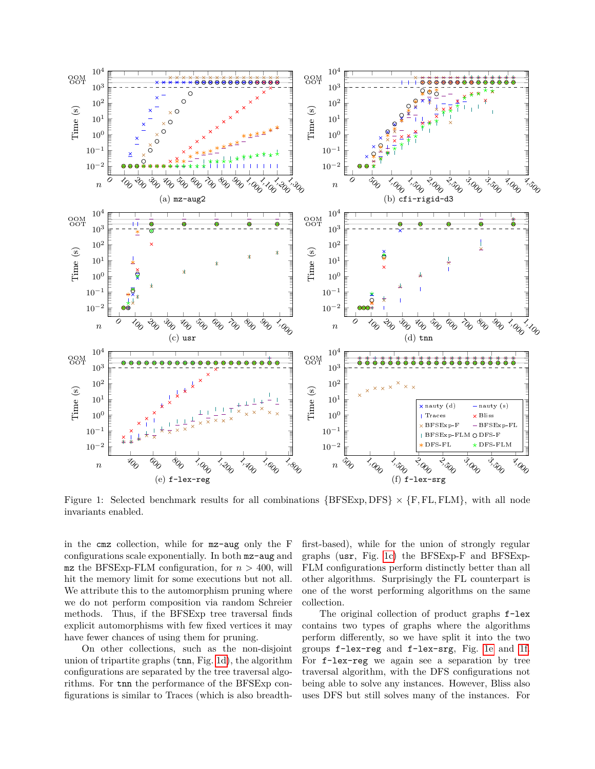<span id="page-6-0"></span>

Figure 1: Selected benchmark results for all combinations  ${BFSExp, DFS} \times {F, FL, FLM}$ , with all node invariants enabled.

in the cmz collection, while for mz-aug only the F configurations scale exponentially. In both mz-aug and mz the BFSExp-FLM configuration, for  $n > 400$ , will hit the memory limit for some executions but not all. We attribute this to the automorphism pruning where we do not perform composition via random Schreier methods. Thus, if the BFSExp tree traversal finds explicit automorphisms with few fixed vertices it may have fewer chances of using them for pruning.

On other collections, such as the non-disjoint union of tripartite graphs (tnn, Fig. [1d\)](#page-6-0), the algorithm configurations are separated by the tree traversal algorithms. For tnn the performance of the BFSExp configurations is similar to Traces (which is also breadthfirst-based), while for the union of strongly regular graphs (usr, Fig. [1c\)](#page-6-0) the BFSExp-F and BFSExp-FLM configurations perform distinctly better than all other algorithms. Surprisingly the FL counterpart is one of the worst performing algorithms on the same collection.

The original collection of product graphs f-lex contains two types of graphs where the algorithms perform differently, so we have split it into the two groups f-lex-reg and f-lex-srg, Fig. [1e](#page-6-0) and [1f.](#page-6-0) For f-lex-reg we again see a separation by tree traversal algorithm, with the DFS configurations not being able to solve any instances. However, Bliss also uses DFS but still solves many of the instances. For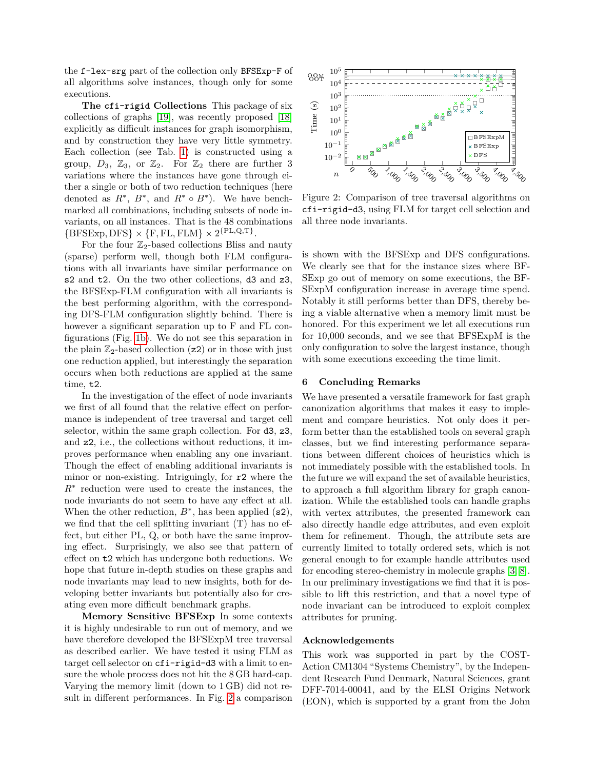the f-lex-srg part of the collection only BFSExp-F of all algorithms solve instances, though only for some executions.

**The cfi-rigid Collections** This package of six collections of graphs [\[19\]](#page-9-1), was recently proposed [\[18\]](#page-9-0) explicitly as difficult instances for graph isomorphism, and by construction they have very little symmetry. Each collection (see Tab. [1\)](#page-8-14) is constructed using a group,  $D_3$ ,  $\mathbb{Z}_3$ , or  $\mathbb{Z}_2$ . For  $\mathbb{Z}_2$  there are further 3 variations where the instances have gone through either a single or both of two reduction techniques (here denoted as  $R^*, B^*,$  and  $R^* \circ B^*$ ). We have benchmarked all combinations, including subsets of node invariants, on all instances. That is the 48 combinations  ${BFSExp, DFS} \times {F, FL, FLM} \times 2{^{PL,Q,T}}.$ 

For the four  $\mathbb{Z}_2$ -based collections Bliss and nauty (sparse) perform well, though both FLM configurations with all invariants have similar performance on s2 and t2. On the two other collections, d3 and z3, the BFSExp-FLM configuration with all invariants is the best performing algorithm, with the corresponding DFS-FLM configuration slightly behind. There is however a significant separation up to F and FL configurations (Fig. [1b\)](#page-6-0). We do not see this separation in the plain  $\mathbb{Z}_2$ -based collection (z2) or in those with just one reduction applied, but interestingly the separation occurs when both reductions are applied at the same time, t2.

In the investigation of the effect of node invariants we first of all found that the relative effect on performance is independent of tree traversal and target cell selector, within the same graph collection. For d3, z3, and z2, i.e., the collections without reductions, it improves performance when enabling any one invariant. Though the effect of enabling additional invariants is minor or non-existing. Intriguingly, for r2 where the *R*<sup>∗</sup> reduction were used to create the instances, the node invariants do not seem to have any effect at all. When the other reduction,  $B^*$ , has been applied  $(s2)$ , we find that the cell splitting invariant (T) has no effect, but either PL, Q, or both have the same improving effect. Surprisingly, we also see that pattern of effect on t2 which has undergone both reductions. We hope that future in-depth studies on these graphs and node invariants may lead to new insights, both for developing better invariants but potentially also for creating even more difficult benchmark graphs.

**Memory Sensitive BFSExp** In some contexts it is highly undesirable to run out of memory, and we have therefore developed the BFSExpM tree traversal as described earlier. We have tested it using FLM as target cell selector on cfi-rigid-d3 with a limit to ensure the whole process does not hit the 8 GB hard-cap. Varying the memory limit (down to 1 GB) did not result in different performances. In Fig. [2](#page-7-1) a comparison

<span id="page-7-1"></span>

Figure 2: Comparison of tree traversal algorithms on cfi-rigid-d3, using FLM for target cell selection and all three node invariants.

is shown with the BFSExp and DFS configurations. We clearly see that for the instance sizes where BF-SExp go out of memory on some executions, the BF-SExpM configuration increase in average time spend. Notably it still performs better than DFS, thereby being a viable alternative when a memory limit must be honored. For this experiment we let all executions run for 10,000 seconds, and we see that BFSExpM is the only configuration to solve the largest instance, though with some executions exceeding the time limit.

#### <span id="page-7-0"></span>**6 Concluding Remarks**

We have presented a versatile framework for fast graph canonization algorithms that makes it easy to implement and compare heuristics. Not only does it perform better than the established tools on several graph classes, but we find interesting performance separations between different choices of heuristics which is not immediately possible with the established tools. In the future we will expand the set of available heuristics, to approach a full algorithm library for graph canonization. While the established tools can handle graphs with vertex attributes, the presented framework can also directly handle edge attributes, and even exploit them for refinement. Though, the attribute sets are currently limited to totally ordered sets, which is not general enough to for example handle attributes used for encoding stereo-chemistry in molecule graphs [\[3,](#page-8-15) [8\]](#page-8-16). In our preliminary investigations we find that it is possible to lift this restriction, and that a novel type of node invariant can be introduced to exploit complex attributes for pruning.

#### **Acknowledgements**

This work was supported in part by the COST-Action CM1304 "Systems Chemistry", by the Independent Research Fund Denmark, Natural Sciences, grant DFF-7014-00041, and by the ELSI Origins Network (EON), which is supported by a grant from the John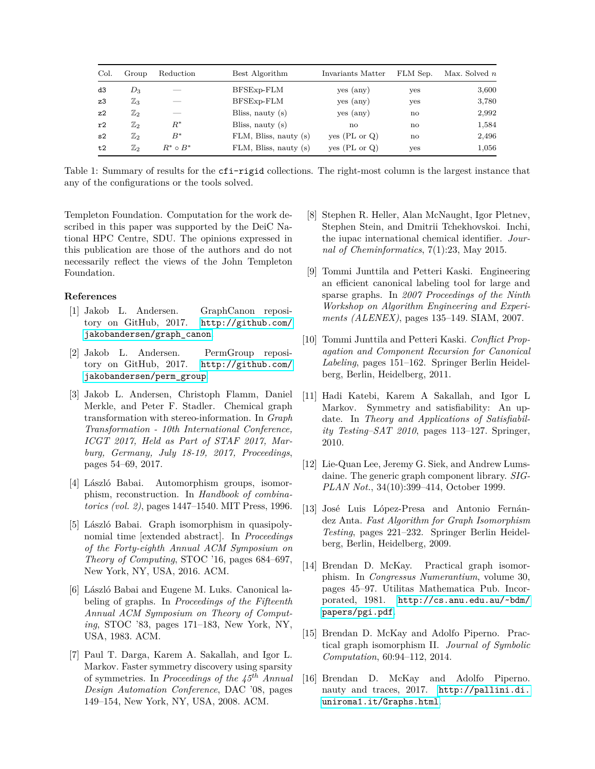<span id="page-8-14"></span>

| Col. | Group          | Reduction       | Best Algorithm        | Invariants Matter | FLM Sep. | Max. Solved $n$ |
|------|----------------|-----------------|-----------------------|-------------------|----------|-----------------|
| d3   | $D_3$          |                 | BFSExp-FLM            | yes (any)         | yes      | 3,600           |
| z3   | $\mathbb{Z}_3$ |                 | BFSExp-FLM            | yes (any)         | yes      | 3,780           |
| z2   | $\mathbb{Z}_2$ |                 | Bliss, nauty $(s)$    | yes (any)         | no       | 2,992           |
| r2   | $\mathbb{Z}_2$ | $_{R^{\ast}}$   | Bliss, nauty $(s)$    | no                | no       | 1,584           |
| s2   | $\mathbb{Z}_2$ | $B^*$           | FLM, Bliss, nauty (s) | ves (PL or Q)     | no       | 2,496           |
| t2   | $\mathbb{Z}_2$ | $R^* \circ B^*$ | FLM, Bliss, nauty (s) | ves (PL or Q)     | yes      | 1,056           |

Table 1: Summary of results for the cfi-rigid collections. The right-most column is the largest instance that any of the configurations or the tools solved.

Templeton Foundation. Computation for the work described in this paper was supported by the DeiC National HPC Centre, SDU. The opinions expressed in this publication are those of the authors and do not necessarily reflect the views of the John Templeton Foundation.

## **References**

- <span id="page-8-10"></span>[1] Jakob L. Andersen. GraphCanon repository on GitHub, 2017. [http://github.com/](http://github.com/jakobandersen/graph_canon) [jakobandersen/graph\\_canon](http://github.com/jakobandersen/graph_canon).
- <span id="page-8-12"></span>[2] Jakob L. Andersen. PermGroup repository on GitHub, 2017. [http://github.com/](http://github.com/jakobandersen/perm_group) [jakobandersen/perm\\_group](http://github.com/jakobandersen/perm_group).
- <span id="page-8-15"></span>[3] Jakob L. Andersen, Christoph Flamm, Daniel Merkle, and Peter F. Stadler. Chemical graph transformation with stereo-information. In *Graph Transformation - 10th International Conference, ICGT 2017, Held as Part of STAF 2017, Marburg, Germany, July 18-19, 2017, Proceedings*, pages 54–69, 2017.
- <span id="page-8-1"></span>[4] László Babai. Automorphism groups, isomorphism, reconstruction. In *Handbook of combinatorics (vol. 2)*, pages 1447–1540. MIT Press, 1996.
- <span id="page-8-3"></span>[5] László Babai. Graph isomorphism in quasipolynomial time [extended abstract]. In *Proceedings of the Forty-eighth Annual ACM Symposium on Theory of Computing*, STOC '16, pages 684–697, New York, NY, USA, 2016. ACM.
- <span id="page-8-2"></span>[6] László Babai and Eugene M. Luks. Canonical labeling of graphs. In *Proceedings of the Fifteenth Annual ACM Symposium on Theory of Computing*, STOC '83, pages 171–183, New York, NY, USA, 1983. ACM.
- <span id="page-8-7"></span>[7] Paul T. Darga, Karem A. Sakallah, and Igor L. Markov. Faster symmetry discovery using sparsity of symmetries. In *Proceedings of the 45th Annual Design Automation Conference*, DAC '08, pages 149–154, New York, NY, USA, 2008. ACM.
- <span id="page-8-16"></span>[8] Stephen R. Heller, Alan McNaught, Igor Pletnev, Stephen Stein, and Dmitrii Tchekhovskoi. Inchi, the iupac international chemical identifier. *Journal of Cheminformatics*, 7(1):23, May 2015.
- <span id="page-8-5"></span>[9] Tommi Junttila and Petteri Kaski. Engineering an efficient canonical labeling tool for large and sparse graphs. In *2007 Proceedings of the Ninth Workshop on Algorithm Engineering and Experiments (ALENEX)*, pages 135–149. SIAM, 2007.
- <span id="page-8-6"></span>[10] Tommi Junttila and Petteri Kaski. *Conflict Propagation and Component Recursion for Canonical Labeling*, pages 151–162. Springer Berlin Heidelberg, Berlin, Heidelberg, 2011.
- <span id="page-8-8"></span>[11] Hadi Katebi, Karem A Sakallah, and Igor L Markov. Symmetry and satisfiability: An update. In *Theory and Applications of Satisfiability Testing–SAT 2010*, pages 113–127. Springer, 2010.
- <span id="page-8-11"></span>[12] Lie-Quan Lee, Jeremy G. Siek, and Andrew Lumsdaine. The generic graph component library. *SIG-PLAN Not.*, 34(10):399–414, October 1999.
- <span id="page-8-9"></span>[13] José Luis López-Presa and Antonio Fernández Anta. *Fast Algorithm for Graph Isomorphism Testing*, pages 221–232. Springer Berlin Heidelberg, Berlin, Heidelberg, 2009.
- <span id="page-8-4"></span>[14] Brendan D. McKay. Practical graph isomorphism. In *Congressus Numerantium*, volume 30, pages 45–97. Utilitas Mathematica Pub. Incorporated, 1981. [http://cs.anu.edu.au/~bdm/](http://cs.anu.edu.au/~bdm/papers/pgi.pdf) [papers/pgi.pdf](http://cs.anu.edu.au/~bdm/papers/pgi.pdf).
- <span id="page-8-0"></span>[15] Brendan D. McKay and Adolfo Piperno. Practical graph isomorphism II. *Journal of Symbolic Computation*, 60:94–112, 2014.
- <span id="page-8-13"></span>[16] Brendan D. McKay and Adolfo Piperno. nauty and traces, 2017. [http://pallini.di.](http://pallini.di.uniroma1.it/Graphs.html) [uniroma1.it/Graphs.html](http://pallini.di.uniroma1.it/Graphs.html).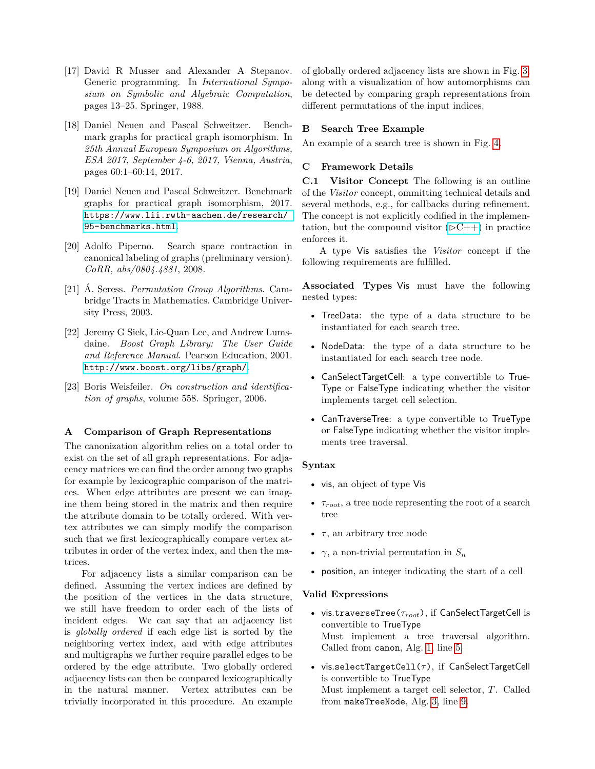- <span id="page-9-2"></span>[17] David R Musser and Alexander A Stepanov. Generic programming. In *International Symposium on Symbolic and Algebraic Computation*, pages 13–25. Springer, 1988.
- <span id="page-9-0"></span>[18] Daniel Neuen and Pascal Schweitzer. Benchmark graphs for practical graph isomorphism. In *25th Annual European Symposium on Algorithms, ESA 2017, September 4-6, 2017, Vienna, Austria*, pages 60:1–60:14, 2017.
- <span id="page-9-1"></span>[19] Daniel Neuen and Pascal Schweitzer. Benchmark graphs for practical graph isomorphism, 2017. [https://www.lii.rwth-aachen.de/research/](https://www.lii.rwth-aachen.de/research/95-benchmarks.html) [95-benchmarks.html](https://www.lii.rwth-aachen.de/research/95-benchmarks.html).
- <span id="page-9-10"></span>[20] Adolfo Piperno. Search space contraction in canonical labeling of graphs (preliminary version). *CoRR, abs/0804.4881*, 2008.
- <span id="page-9-9"></span>[21] Á. Seress. *Permutation Group Algorithms*. Cambridge Tracts in Mathematics. Cambridge University Press, 2003.
- <span id="page-9-3"></span>[22] Jeremy G Siek, Lie-Quan Lee, and Andrew Lumsdaine. *Boost Graph Library: The User Guide and Reference Manual*. Pearson Education, 2001. <http://www.boost.org/libs/graph/>.
- <span id="page-9-8"></span>[23] Boris Weisfeiler. *On construction and identification of graphs*, volume 558. Springer, 2006.

# <span id="page-9-5"></span>**A Comparison of Graph Representations**

The canonization algorithm relies on a total order to exist on the set of all graph representations. For adjacency matrices we can find the order among two graphs for example by lexicographic comparison of the matrices. When edge attributes are present we can imagine them being stored in the matrix and then require the attribute domain to be totally ordered. With vertex attributes we can simply modify the comparison such that we first lexicographically compare vertex attributes in order of the vertex index, and then the matrices.

For adjacency lists a similar comparison can be defined. Assuming the vertex indices are defined by the position of the vertices in the data structure, we still have freedom to order each of the lists of incident edges. We can say that an adjacency list is *globally ordered* if each edge list is sorted by the neighboring vertex index, and with edge attributes and multigraphs we further require parallel edges to be ordered by the edge attribute. Two globally ordered adjacency lists can then be compared lexicographically in the natural manner. Vertex attributes can be trivially incorporated in this procedure. An example

of globally ordered adjacency lists are shown in Fig. [3,](#page-10-1) along with a visualization of how automorphisms can be detected by comparing graph representations from different permutations of the input indices.

#### <span id="page-9-6"></span>**B Search Tree Example**

An example of a search tree is shown in Fig. [4.](#page-11-0)

### <span id="page-9-4"></span>**C Framework Details**

<span id="page-9-7"></span>**C.1 Visitor Concept** The following is an outline of the *Visitor* concept, ommitting technical details and several methods, e.g., for callbacks during refinement. The concept is not explicitly codified in the implementation, but the compound visitor  $(DC_{++})$  in practice enforces it.

A type Vis satisfies the *Visitor* concept if the following requirements are fulfilled.

**Associated Types** Vis must have the following nested types:

- TreeData: the type of a data structure to be instantiated for each search tree.
- NodeData: the type of a data structure to be instantiated for each search tree node.
- CanSelectTargetCell: a type convertible to True-Type or FalseType indicating whether the visitor implements target cell selection.
- CanTraverseTree: a type convertible to TrueType or FalseType indicating whether the visitor implements tree traversal.

#### **Syntax**

- vis, an object of type Vis
- *τroot*, a tree node representing the root of a search tree
- $\tau$ , an arbitrary tree node
- $\gamma$ , a non-trivial permutation in  $S_n$
- position, an integer indicating the start of a cell

#### **Valid Expressions**

- vis.traverseTree(*τroot*), if CanSelectTargetCell is convertible to TrueType Must implement a tree traversal algorithm. Called from canon, Alg. [1,](#page-12-3) line [5.](#page-12-4)
- vis.selectTargetCell(*τ*), if CanSelectTargetCell is convertible to TrueType Must implement a target cell selector, *T*. Called from makeTreeNode, Alg. [3,](#page-12-5) line [9.](#page-12-6)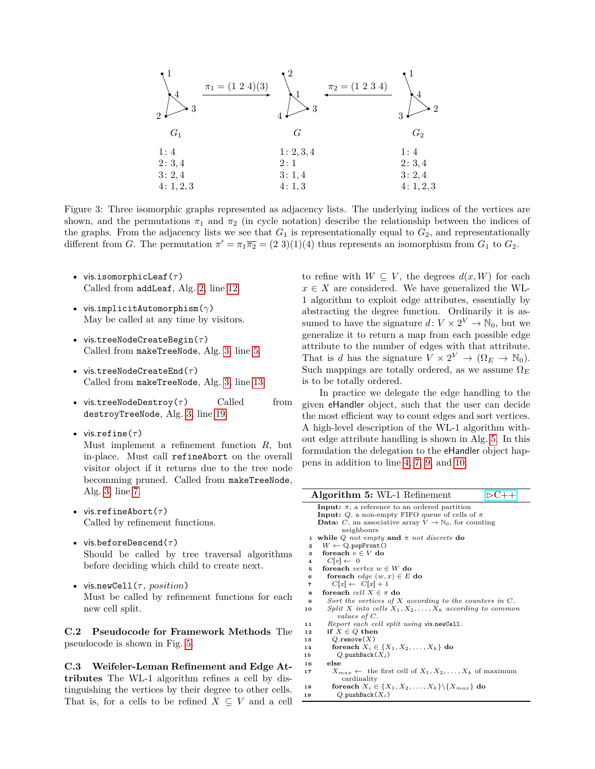<span id="page-10-1"></span>

Figure 3: Three isomorphic graphs represented as adjacency lists. The underlying indices of the vertices are shown, and the permutations  $\pi_1$  and  $\pi_2$  (in cycle notation) describe the relationship between the indices of the graphs. From the adjacency lists we see that  $G_1$  is representationally equal to  $G_2$ , and representationally different from *G*. The permutation  $\pi' = \pi_1 \overline{\pi_2} = (2 \ 3)(1)(4)$  thus represents an isomorphism from  $G_1$  to  $G_2$ .

- vis.isomorphicLeaf(*τ*) Called from addLeaf, Alg. [2,](#page-12-7) line [12.](#page-12-8)
- vis.implicitAutomorphism(*γ*) May be called at any time by visitors.
- vis.treeNodeCreateBegin(*τ*) Called from makeTreeNode, Alg. [3,](#page-12-5) line [5.](#page-12-9)
- vis.treeNodeCreateEnd(*τ*) Called from makeTreeNode, Alg. [3,](#page-12-5) line [13.](#page-12-10)
- vis.treeNodeDestroy(*τ*) Called from destroyTreeNode, Alg. [3,](#page-12-5) line [19.](#page-12-11)
- vis.refine(*τ*)

Must implement a refinement function *R*, but in-place. Must call refineAbort on the overall visitor object if it returns due to the tree node becomming pruned. Called from makeTreeNode, Alg. [3,](#page-12-5) line [7.](#page-12-12)

- vis.refineAbort(*τ*) Called by refinement functions.
- vis.beforeDescend(*τ*) Should be called by tree traversal algorithms before deciding which child to create next.
- vis.newCell(*τ , position*) Must be called by refinement functions for each new cell split.

**C.2 Pseudocode for Framework Methods** The pseudocode is shown in Fig. [5.](#page-12-0)

<span id="page-10-0"></span>**C.3 Weifeler-Leman Refinement and Edge Attributes** The WL-1 algorithm refines a cell by distinguishing the vertices by their degree to other cells. That is, for a cells to be refined  $X \subseteq V$  and a cell to refine with  $W \subseteq V$ , the degrees  $d(x, W)$  for each  $x \in X$  are considered. We have generalized the WL-1 algorithm to exploit edge attributes, essentially by abstracting the degree function. Ordinarily it is assumed to have the signature  $d: V \times 2^V \to \mathbb{N}_0$ , but we generalize it to return a map from each possible edge attribute to the number of edges with that attribute. That is *d* has the signature  $V \times 2^V \rightarrow (\Omega_E \rightarrow \mathbb{N}_0)$ . Such mappings are totally ordered, as we assume  $\Omega_E$ is to be totally ordered.

In practice we delegate the edge handling to the given eHandler object, such that the user can decide the most efficient way to count edges and sort vertices. A high-level description of the WL-1 algorithm without edge attribute handling is shown in Alg. [5.](#page-10-2) In this formulation the delegation to the eHandler object happens in addition to line [4,](#page-10-3) [7,](#page-10-4) [9,](#page-10-5) and [10.](#page-10-6)

<span id="page-10-6"></span><span id="page-10-5"></span><span id="page-10-4"></span><span id="page-10-3"></span><span id="page-10-2"></span>

|                          | <b>Algorithm 5: WL-1 Refinement</b>                                                                                                                                                                              |
|--------------------------|------------------------------------------------------------------------------------------------------------------------------------------------------------------------------------------------------------------|
|                          | <b>Input:</b> $\pi$ , a reference to an ordered partition<br><b>Input:</b> Q, a non-empty FIFO queue of cells of $\pi$<br><b>Data:</b> C, an associative array $V \to \mathbb{N}_0$ , for counting<br>neighbours |
| $\mathbf{1}$             | while Q not empty and $\pi$ not discrete do                                                                                                                                                                      |
| $\mathbf{2}$             | $W \leftarrow Q.\text{popFront}()$                                                                                                                                                                               |
| 3                        | foreach $v \in V$ do                                                                                                                                                                                             |
| $\overline{\mathbf{A}}$  | $C[v] \leftarrow 0$                                                                                                                                                                                              |
| 5                        | foreach vertex $w \in W$ do                                                                                                                                                                                      |
| 6                        | foreach <i>edge</i> $(w, x) \in E$ do                                                                                                                                                                            |
| $\overline{\phantom{a}}$ | $C[x] \leftarrow C[x] + 1$                                                                                                                                                                                       |
| 8                        | foreach cell $X \in \pi$ do                                                                                                                                                                                      |
| 9                        | Sort the vertices of $X$ according to the counters in $C$ .                                                                                                                                                      |
| 10                       | Split X into cells $X_1, X_2, \ldots, X_k$ according to common                                                                                                                                                   |
|                          | values of $C$ .                                                                                                                                                                                                  |
| 11                       | Report each cell split using vis.newCell.                                                                                                                                                                        |
| 12                       | if $X \in Q$ then                                                                                                                                                                                                |
| 13                       | $Q$ .remove $(X)$                                                                                                                                                                                                |
| 14                       | foreach $X_i \in \{X_1, X_2, \ldots, X_k\}$ do                                                                                                                                                                   |
| 15                       | Q.pushBack $(X_i)$                                                                                                                                                                                               |
| 16                       | else                                                                                                                                                                                                             |
| 17                       | $X_{max} \leftarrow$ the first cell of $X_1, X_2, \ldots, X_k$ of maximum                                                                                                                                        |
|                          | cardinality                                                                                                                                                                                                      |
| 18                       | foreach $X_i \in \{X_1, X_2, \ldots, X_k\} \backslash \{X_{max}\}\$ do                                                                                                                                           |
| 19                       | Q.pushBack $(X_i)$                                                                                                                                                                                               |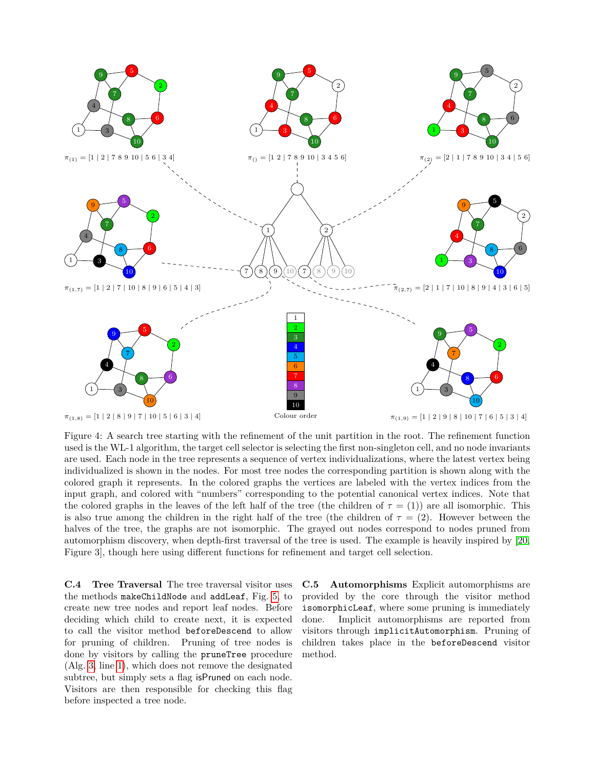<span id="page-11-0"></span>

Figure 4: A search tree starting with the refinement of the unit partition in the root. The refinement function used is the WL-1 algorithm, the target cell selector is selecting the first non-singleton cell, and no node invariants are used. Each node in the tree represents a sequence of vertex individualizations, where the latest vertex being individualized is shown in the nodes. For most tree nodes the corresponding partition is shown along with the colored graph it represents. In the colored graphs the vertices are labeled with the vertex indices from the input graph, and colored with "numbers" corresponding to the potential canonical vertex indices. Note that the colored graphs in the leaves of the left half of the tree (the children of  $\tau = (1)$ ) are all isomorphic. This is also true among the children in the right half of the tree (the children of  $\tau = (2)$ ). However between the halves of the tree, the graphs are not isomorphic. The grayed out nodes correspond to nodes pruned from automorphism discovery, when depth-first traversal of the tree is used. The example is heavily inspired by [\[20,](#page-9-10) Figure 3], though here using different functions for refinement and target cell selection.

**C.4 Tree Traversal** The tree traversal visitor uses the methods makeChildNode and addLeaf, Fig. [5,](#page-12-0) to create new tree nodes and report leaf nodes. Before deciding which child to create next, it is expected to call the visitor method beforeDescend to allow for pruning of children. Pruning of tree nodes is done by visitors by calling the pruneTree procedure (Alg. [3,](#page-12-5) line [1\)](#page-12-13), which does not remove the designated subtree, but simply sets a flag isPruned on each node. Visitors are then responsible for checking this flag before inspected a tree node.

**C.5 Automorphisms** Explicit automorphisms are provided by the core through the visitor method isomorphicLeaf, where some pruning is immediately done. Implicit automorphisms are reported from visitors through implicitAutomorphism. Pruning of children takes place in the beforeDescend visitor method.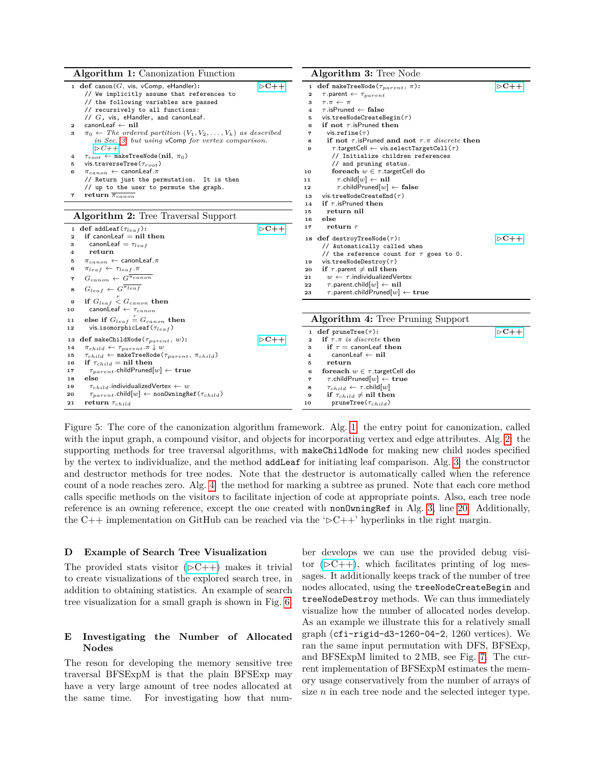<span id="page-12-12"></span><span id="page-12-10"></span><span id="page-12-9"></span><span id="page-12-7"></span><span id="page-12-6"></span><span id="page-12-5"></span><span id="page-12-4"></span><span id="page-12-3"></span><span id="page-12-0"></span>

| <b>Algorithm 1:</b> Canonization Function                                                                                                                                                                                                                                                                                                                                                                                                                                                                                                                                                                                                                                                                                                                                                         | Algorithm 3: Tree Node                                                                                                                                                                                                                                                                                                                                                                                                                                                                                                                                                                                                                                                                                                                                                                                               |                            |
|---------------------------------------------------------------------------------------------------------------------------------------------------------------------------------------------------------------------------------------------------------------------------------------------------------------------------------------------------------------------------------------------------------------------------------------------------------------------------------------------------------------------------------------------------------------------------------------------------------------------------------------------------------------------------------------------------------------------------------------------------------------------------------------------------|----------------------------------------------------------------------------------------------------------------------------------------------------------------------------------------------------------------------------------------------------------------------------------------------------------------------------------------------------------------------------------------------------------------------------------------------------------------------------------------------------------------------------------------------------------------------------------------------------------------------------------------------------------------------------------------------------------------------------------------------------------------------------------------------------------------------|----------------------------|
| $\triangleright$ C++<br>1 def canon $(G, vis, vComp, eHandler)$ :<br>// We implicitly assume that references to<br>// the following variables are passed<br>// recursively to all functions:<br>// $G$ , vis, eHandler, and canonLeaf.<br>canonLeaf $\leftarrow$ nil<br>2<br>$\pi_0 \leftarrow$ The ordered partition $(V_1, V_2, \ldots, V_k)$ as described<br>з<br>in Sec. 3, but using vComp for vertex comparison.<br>$\triangleright C++$<br>$\tau_{root} \leftarrow \text{makeTreeNode}(\text{nil}, \pi_0)$<br>4<br>vis.traverseTree $(\tau_{root})$<br>5<br>$\pi_{canon} \leftarrow$ canonLeaf. $\pi$<br>6<br>// Return just the permutation. It is then<br>// up to the user to permute the graph.<br>return $\overline{\pi_{cannon}}$<br>7<br><b>Algorithm 2:</b> Tree Traversal Support | 1 def makeTreeNode( $\tau_{parent}$ , $\pi$ ):<br>$\overline{\mathbf{2}}$<br>$\tau$ .parent $\leftarrow \tau_{parent}$<br>$\tau.\pi \leftarrow \pi$<br>3<br>$\tau$ .isPruned $\leftarrow$ false<br>4<br>vis.treeNodeCreateBegin $(\tau)$<br>5<br>if not $\tau$ is Pruned then<br>6<br>vis.refine $(\tau)$<br>$\overline{\phantom{a}}$<br>if not $\tau$ is Pruned and not $\tau \cdot \pi$ discrete then<br>8<br>$\tau$ .targetCell $\leftarrow$ vis.selectTargetCell( $\tau$ )<br>9<br>// Initialize children references<br>// and pruning status.<br>foreach $w \in \tau$ .targetCell do<br>10<br>$\tau$ .child $[w] \leftarrow \textbf{nil}$<br>11<br>$\tau$ .childPruned $[w] \leftarrow$ false<br>12<br>vis.treeNodeCreateEnd $(\tau)$<br>13<br>if $\tau$ is Pruned then<br>14<br>return nil<br>15<br>else<br>16 | $\triangleright$ C++       |
| $\triangleright$ C++<br>1 def addLeaf $(\tau_{leaf})$ :<br>if canonLeaf $=$ nil then<br>$\mathbf 2$<br>canonLeaf = $\tau_{leaf}$<br>з<br>return<br>4<br>$\pi_{canon} \leftarrow$ canonLeaf. $\pi$<br>5<br>$\pi_{leaf} \leftarrow \tau_{leaf} \cdot \pi$<br>6<br>$G_{canon} \, \leftarrow \, G^{\overline{\pi_{canon}}}$<br>7<br>$G_{leaf} \leftarrow G^{\overline{\pi}_{leaf}}$<br>8<br>if $G_{leaf} < G_{canon}$ then<br>9<br>canonLeaf $\leftarrow \tau_{cannon}$<br>10                                                                                                                                                                                                                                                                                                                         | return $\tau$<br>17<br>18 def destroyTreeNode( $\tau$ ):<br>// Automatically called when<br>// the reference count for $\tau$ goes to 0.<br>vis.treeNodeDestroy $(\tau)$<br>19<br>if $\tau$ parent $\neq$ nil then<br>20<br>$w \leftarrow \tau$ .individualizedVertex<br>21<br>$\tau$ .parent.child $[w] \leftarrow \textbf{nil}$<br>22<br>$\tau$ .parent.childPruned $[w] \leftarrow$ true<br>23                                                                                                                                                                                                                                                                                                                                                                                                                    | $\triangleright {\rm C++}$ |
| else if $G_{leaf} = G_{canon}$ then<br>11                                                                                                                                                                                                                                                                                                                                                                                                                                                                                                                                                                                                                                                                                                                                                         | <b>Algorithm 4: Tree Pruning Support</b>                                                                                                                                                                                                                                                                                                                                                                                                                                                                                                                                                                                                                                                                                                                                                                             |                            |
| vis.isomorphicLeaf $(\tau_{leaf})$<br>12<br>$\triangleright$ C++<br>13 def makeChildNode( $\tau_{parent}$ , w):<br>$\pi_{child} \leftarrow \tau_{parent}.\pi \downarrow w$<br>14<br>$\tau_{child}\leftarrow \texttt{makeTreeNode}(\tau_{parent},\, \pi_{child})$<br>15<br>if $\tau_{child}$ = nil then<br>16<br>$\tau_{parent}$ .childPruned $[w] \leftarrow \textbf{true}$<br>17<br>else<br>18<br>$\tau_{child}$ .individualizedVertex $\leftarrow w$<br>19<br>$\tau_{parent}$ .child $[w] \leftarrow \text{nonOwningRef}(\tau_{child})$<br>20<br>return $\tau_{child}$<br>21                                                                                                                                                                                                                    | 1 def pruneTree $(\tau)$ :<br>if $\tau \cdot \pi$ is discrete then<br>2<br>if $\tau =$ canonLeaf then<br>3<br>canonLeaf $\leftarrow$ nil<br>$\overline{\mathbf{4}}$<br>return<br>5<br>foreach $w \in \tau$ .targetCell do<br>6<br>$\tau$ .childPruned[w] $\leftarrow$ true<br>7<br>$\tau_{child} \leftarrow \tau$ .child $[w]$<br>8<br>if $\tau_{child} \neq \textbf{nil}$ then<br>9<br>$\texttt{pruneTree}(\tau_{child})$<br>10                                                                                                                                                                                                                                                                                                                                                                                     | $\triangleright$ C++       |

<span id="page-12-15"></span><span id="page-12-8"></span>Figure 5: The core of the canonization algorithm framework. Alg. [1:](#page-12-3) the entry point for canonization, called with the input graph, a compound visitor, and objects for incorporating vertex and edge attributes. Alg. [2:](#page-12-7) the supporting methods for tree traversal algorithms, with makeChildNode for making new child nodes specified by the vertex to individualize, and the method addLeaf for initiating leaf comparison. Alg. [3:](#page-12-5) the constructor and destructor methods for tree nodes. Note that the destructor is automatically called when the reference count of a node reaches zero. Alg. [4:](#page-12-14) the method for marking a subtree as pruned. Note that each core method calls specific methods on the visitors to facilitate injection of code at appropriate points. Also, each tree node reference is an owning reference, except the one created with nonOwningRef in Alg. [3,](#page-12-5) line [20.](#page-12-15) Additionally, the C++ implementation on GitHub can be reached via the  $\Delta$ C++' hyperlinks in the right margin.

#### <span id="page-12-1"></span>**D Example of Search Tree Visualization**

The provided stats visitor  $(DC_{++})$  makes it trivial to create visualizations of the explored search tree, in addition to obtaining statistics. An example of search tree visualization for a small graph is shown in Fig. [6.](#page-13-0)

# <span id="page-12-2"></span>**E Investigating the Number of Allocated Nodes**

The reson for developing the memory sensitive tree traversal BFSExpM is that the plain BFSExp may have a very large amount of tree nodes allocated at the same time. For investigating how that num<span id="page-12-14"></span><span id="page-12-13"></span><span id="page-12-11"></span>ber develops we can use the provided debug visitor  $(DC_{++})$ , which facilitates printing of log messages. It additionally keeps track of the number of tree nodes allocated, using the treeNodeCreateBegin and treeNodeDestroy methods. We can thus immediately visualize how the number of allocated nodes develop. As an example we illustrate this for a relatively small graph (cfi-rigid-d3-1260-04-2, 1260 vertices). We ran the same input permutation with DFS, BFSExp, and BFSExpM limited to 2 MB, see Fig. [7.](#page-14-0) The current implementation of BFSExpM estimates the memory usage conservatively from the number of arrays of size *n* in each tree node and the selected integer type.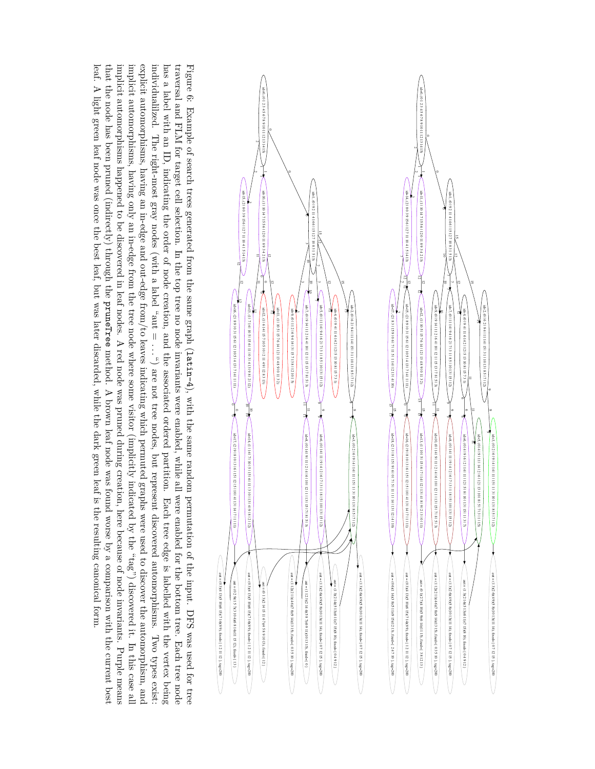

<span id="page-13-0"></span>that the node has been pruned (indirectly) through the pruneTree method. A brown leaf node was found worse by a comparison with the current best implicit automorphisms happened to be discovered in leaf nodes. A red node was pruned during creation, here because of node invariants. Purple means implicit automorphisms, having only an in-edge from the tree node where some visitor (implicitly indicated by the "tag") discovered it. In this case all explicit automorphisms, having an in-edge and out-edge from/to leaves indicating which permuted graphs were used to discover the automorphism, and individualilzed. The right-most gray nodes (with a label "aut  $=$  ...") are not tree nodes, but represent discovered automorphisms. Two types exist: has a label with an ID, indicating the order of node creation, and the associated ordered partition. Each tree edge is labelled with the vertex being traversal and FLM for target cell selection. In the top tree no node invariants were enabled, while all were enabled for the bottom tree. Each tree node Figure 6: Example of search trees generated from the same graph (1atin-4), with the same random permutation of the input. DFS was used for tree leaf. A light green leaf node was once the best leaf, but was later discarded, while the dark green leaf is the resulting canonical form. leaf. A light green leaf node was once the best leaf, but was later discarded, while the dark green leaf is the resulting canonical form.that the node has been pruned (indirectly) through the implicit automorphisms happened to be discovered in leaf nodes. A red node was pruned during creation, here because of node invariants. Purple means implicit automorphisms, having only an in-edge from the tree node where some visitor (implicitly indicated by the "tag") discovered it. In this case all explicit automorphisms, having an in-edge and out-edge from/to leaves indicating which permuted graphs were used to discover the automorphism, and individualilzed. The right-most gray nodes (with a label "aut = . . . ") are not tree nodes, but represent discovered automorphisms. Two types exist: has a label with an ID, indicating the order of node creation, and the associated order of notical partition. Each tree edge is labelled with the vertex being the vertex being the vertex being  $\alpha$ traversal and FLM for target cell selection. In the top tree no node invariants were enabled, while all were enabled for the bottom tree. Each tree node Figure 6: Example of search trees generated from the same graph (pruneTree method. A brown leaf node was found worse by a comparison with the current best latin-4), with the same random permutation of the input. DFS was used for tree